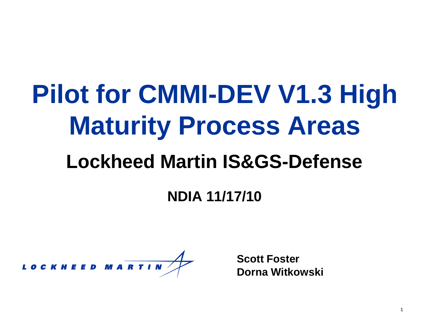# **Pilot for CMMI-DEV V1.3 High Maturity Process Areas**

#### **Lockheed Martin IS&GS-Defense**

#### **NDIA 11/17/10**

LOCKHEED MA<mark>RTIN</mark>

**Scott Foster Dorna Witkowski**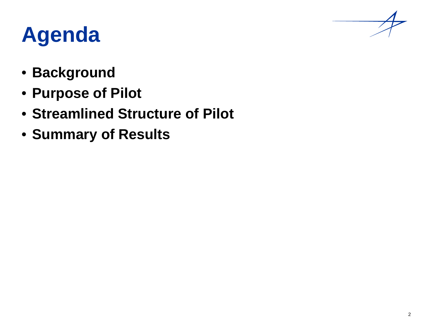# **Agenda**

- **Background**
- **Purpose of Pilot**
- **Streamlined Structure of Pilot**
- **Summary of Results**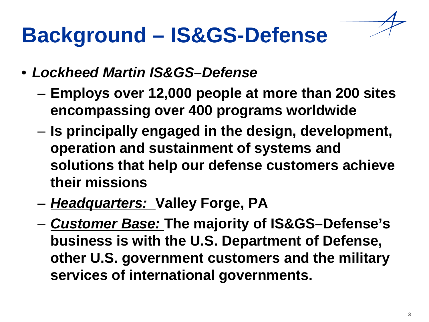# **Background – IS&GS-Defense**

- *Lockheed Martin IS&GS–Defense* 
	- **Employs over 12,000 people at more than 200 sites encompassing over 400 programs worldwide**
	- **Is principally engaged in the design, development, operation and sustainment of systems and solutions that help our defense customers achieve their missions**
	- *Headquarters:* **Valley Forge, PA**
	- *Customer Base:* **The majority of IS&GS–Defense's business is with the U.S. Department of Defense, other U.S. government customers and the military services of international governments.**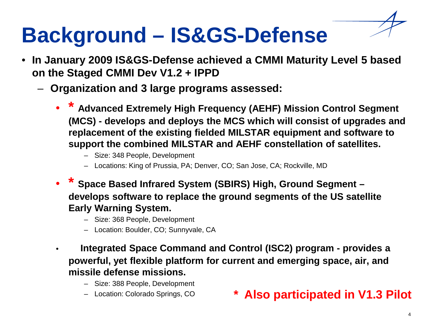# **Background – IS&GS-Defense**

- **In January 2009 IS&GS-Defense achieved a CMMI Maturity Level 5 based on the Staged CMMI Dev V1.2 + IPPD** 
	- **Organization and 3 large programs assessed:**
		- **\* Advanced Extremely High Frequency (AEHF) Mission Control Segment (MCS) - develops and deploys the MCS which will consist of upgrades and replacement of the existing fielded MILSTAR equipment and software to support the combined MILSTAR and AEHF constellation of satellites.** 
			- Size: 348 People, Development
			- Locations: King of Prussia, PA; Denver, CO; San Jose, CA; Rockville, MD
		- **\* Space Based Infrared System (SBIRS) High, Ground Segment – develops software to replace the ground segments of the US satellite Early Warning System.** 
			- Size: 368 People, Development
			- Location: Boulder, CO; Sunnyvale, CA
		- **Integrated Space Command and Control (ISC2) program - provides a powerful, yet flexible platform for current and emerging space, air, and missile defense missions.** 
			- Size: 388 People, Development
			-

#### – Location: Colorado Springs, CO **\* Also participated in V1.3 Pilot**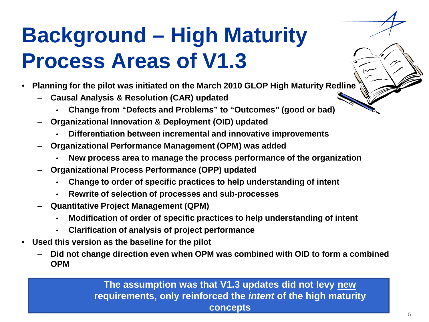# **Background – High Maturity Process Areas of V1.3**

- **Planning for the pilot was initiated on the March 2010 GLOP High Maturity Redline**
	- **Causal Analysis & Resolution (CAR) updated**
		- **Change from "Defects and Problems" to "Outcomes" (good or bad)**
	- **Organizational Innovation & Deployment (OID) updated**
		- **Differentiation between incremental and innovative improvements**
	- **Organizational Performance Management (OPM) was added**
		- **New process area to manage the process performance of the organization**
	- **Organizational Process Performance (OPP) updated**
		- **Change to order of specific practices to help understanding of intent**
		- **Rewrite of selection of processes and sub-processes**
	- **Quantitative Project Management (QPM)** 
		- **Modification of order of specific practices to help understanding of intent**
		- **Clarification of analysis of project performance**
- **Used this version as the baseline for the pilot**
	- **Did not change direction even when OPM was combined with OID to form a combined OPM**

**The assumption was that V1.3 updates did not levy new requirements, only reinforced the** *intent* **of the high maturity concepts**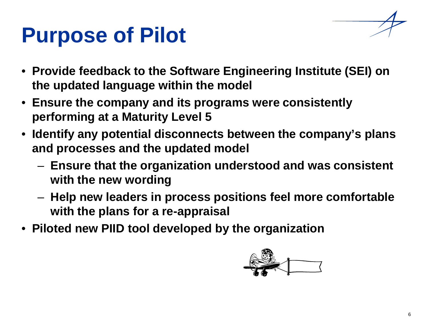## **Purpose of Pilot**

- **Provide feedback to the Software Engineering Institute (SEI) on the updated language within the model**
- **Ensure the company and its programs were consistently performing at a Maturity Level 5**
- **Identify any potential disconnects between the company's plans and processes and the updated model**
	- **Ensure that the organization understood and was consistent with the new wording**
	- **Help new leaders in process positions feel more comfortable with the plans for a re-appraisal**
- **Piloted new PIID tool developed by the organization**

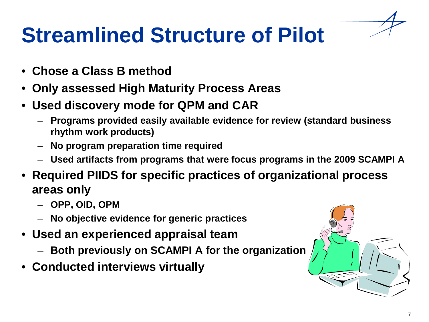# **Streamlined Structure of Pilot**

- **Chose a Class B method**
- **Only assessed High Maturity Process Areas**
- **Used discovery mode for QPM and CAR**
	- **Programs provided easily available evidence for review (standard business rhythm work products)**
	- **No program preparation time required**
	- **Used artifacts from programs that were focus programs in the 2009 SCAMPI A**
- **Required PIIDS for specific practices of organizational process areas only**
	- **OPP, OID, OPM**
	- **No objective evidence for generic practices**
- **Used an experienced appraisal team**
	- **Both previously on SCAMPI A for the organization**
- **Conducted interviews virtually**

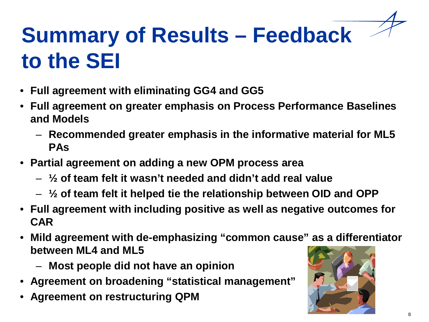# **Summary of Results – Feedback to the SEI**

- **Full agreement with eliminating GG4 and GG5**
- **Full agreement on greater emphasis on Process Performance Baselines and Models**
	- **Recommended greater emphasis in the informative material for ML5 PAs**
- **Partial agreement on adding a new OPM process area**
	- **½ of team felt it wasn't needed and didn't add real value**
	- **½ of team felt it helped tie the relationship between OID and OPP**
- **Full agreement with including positive as well as negative outcomes for CAR**
- **Mild agreement with de-emphasizing "common cause" as a differentiator between ML4 and ML5**
	- **Most people did not have an opinion**
- **Agreement on broadening "statistical management"**
- **Agreement on restructuring QPM**

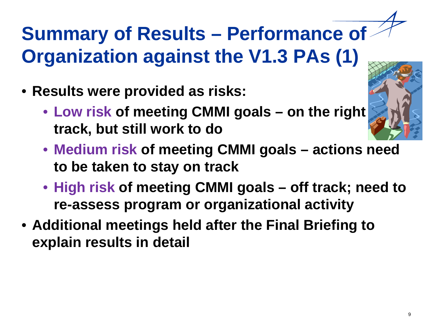## **Summary of Results – Performance of Organization against the V1.3 PAs (1)**

- **Results were provided as risks:**
	- **Low risk of meeting CMMI goals – on the right track, but still work to do**
	- **Medium risk of meeting CMMI goals – actions need to be taken to stay on track**
	- **High risk of meeting CMMI goals – off track; need to re-assess program or organizational activity**
- **Additional meetings held after the Final Briefing to explain results in detail**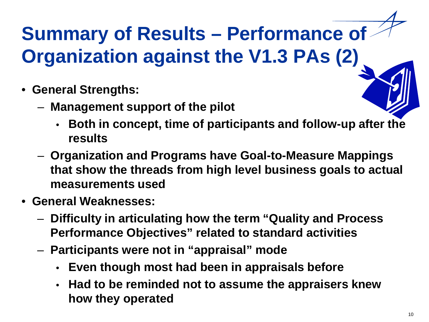## **Summary of Results – Performance of Organization against the V1.3 PAs (2)**

- **General Strengths:**
	- **Management support of the pilot**
		- **Both in concept, time of participants and follow-up after the results**
	- **Organization and Programs have Goal-to-Measure Mappings that show the threads from high level business goals to actual measurements used**
- **General Weaknesses:**
	- **Difficulty in articulating how the term "Quality and Process Performance Objectives" related to standard activities**
	- **Participants were not in "appraisal" mode**
		- **Even though most had been in appraisals before**
		- **Had to be reminded not to assume the appraisers knew how they operated**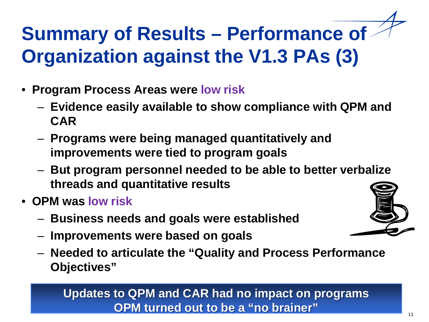# **Summary of Results – Performance of Organization against the V1.3 PAs (3)**

- **Program Process Areas were low risk**
	- **Evidence easily available to show compliance with QPM and CAR**
	- **Programs were being managed quantitatively and improvements were tied to program goals**
	- **But program personnel needed to be able to better verbalize threads and quantitative results**
- **OPM was low risk**
	- **Business needs and goals were established**
	- **Improvements were based on goals**
	- **Needed to articulate the "Quality and Process Performance Objectives"**

#### **Updates to QPM and CAR had no impact on programs OPM turned out to be a "no brainer"**



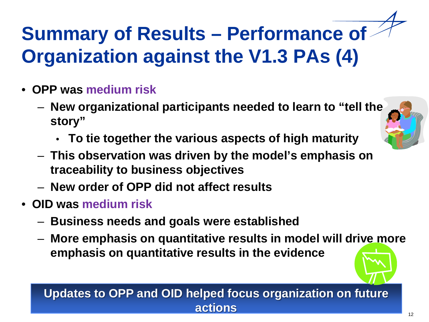# **Summary of Results – Performance of Organization against the V1.3 PAs (4)**

- **OPP was medium risk**
	- **New organizational participants needed to learn to "tell the story"**
		- **To tie together the various aspects of high maturity**
	- **This observation was driven by the model's emphasis on traceability to business objectives**
	- **New order of OPP did not affect results**
- **OID was medium risk**
	- **Business needs and goals were established**
	- **More emphasis on quantitative results in model will drive more emphasis on quantitative results in the evidence**

#### **Updates to OPP and OID helped focus organization on future actions**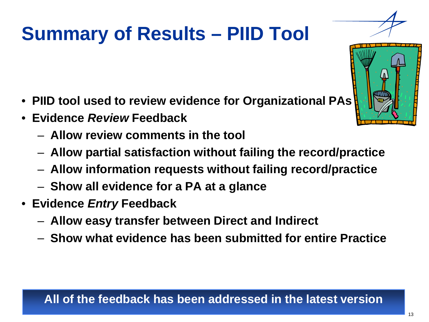### **Summary of Results – PIID Tool**

- **PIID tool used to review evidence for Organizational PAs**
- **Evidence** *Review* **Feedback**
	- **Allow review comments in the tool**
	- **Allow partial satisfaction without failing the record/practice**
	- **Allow information requests without failing record/practice**
	- **Show all evidence for a PA at a glance**
- **Evidence** *Entry* **Feedback**
	- **Allow easy transfer between Direct and Indirect**
	- **Show what evidence has been submitted for entire Practice**



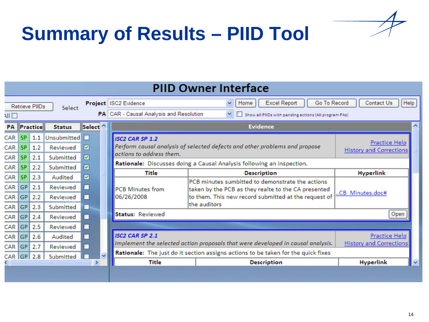



| <b>PIID Owner Interface</b> |                                     |                       |                                               |                    |                                                                                                                                                                                                                                |                                                                                                                                  |                                                                                                                                                                                       |                    |  |
|-----------------------------|-------------------------------------|-----------------------|-----------------------------------------------|--------------------|--------------------------------------------------------------------------------------------------------------------------------------------------------------------------------------------------------------------------------|----------------------------------------------------------------------------------------------------------------------------------|---------------------------------------------------------------------------------------------------------------------------------------------------------------------------------------|--------------------|--|
|                             |                                     | <b>Retrieve PIIDs</b> | Select                                        |                    | <b>Excel Report</b><br>Go To Record<br>Project ISC2 Evidence<br>Home<br>$\checkmark$<br>PA CAR - Causal Analysis and Resolution<br>$\checkmark$<br>Show all PIIDs with pending actions (All program PAs)                       |                                                                                                                                  |                                                                                                                                                                                       | Help<br>Contact Us |  |
| NI O<br><b>PA</b>           | Practice<br><b>Status</b>           |                       | Select <sup>^</sup>                           |                    | <b>Evidence</b>                                                                                                                                                                                                                |                                                                                                                                  |                                                                                                                                                                                       |                    |  |
| CAR<br>CAR<br>CAR           | <b>SP</b><br><b>SP</b><br><b>SP</b> | 1.1<br>1.2<br>2.1     | Unsubmitted <b>D</b><br>Reviewed<br>Submitted | ⊡<br>☑             |                                                                                                                                                                                                                                | <b>ISC2 CAR SP 1.2</b><br>Perform causal analysis of selected defects and other problems and propose<br>actions to address them. | Practice Help<br><b>History and Corrections</b>                                                                                                                                       |                    |  |
| CAR                         | <b>SP</b>                           | 2.2                   | Submitted                                     | ☑                  |                                                                                                                                                                                                                                | Rationale: Discusses doing a Causal Analysis following an inspection.<br><b>Title</b>                                            | <b>Hyperlink</b>                                                                                                                                                                      |                    |  |
| CAR<br>CAR<br>CAR           | <b>SP</b><br><b>GP</b><br><b>GP</b> | 2.3<br>2.1<br>2.2     | Audited<br>Reviewed<br>Reviewed               | 罓<br>п<br>п        | 06/26/2008                                                                                                                                                                                                                     | <b>PCB Minutes from</b>                                                                                                          | <b>Description</b><br>PCB minutes sumbitted to demonstrate the actions<br>taken by the PCB as they realte to the CA presented<br>to them. This new record submitted at the request of | CB Minutes.doc#    |  |
| CAR<br>CAR                  | <b>GP</b><br><b>GP</b>              | 2.3<br>2.4            | Submitted<br>Reviewed                         | п<br>ш             |                                                                                                                                                                                                                                | Status: Reviewed                                                                                                                 | the auditors                                                                                                                                                                          | Open               |  |
| CAR<br>CAR                  | <b>GP</b><br>GP                     | 2.5<br>2.6            | Reviewed<br>Audited                           | ш<br>П             |                                                                                                                                                                                                                                | <b>ISC2 CAR SP 2.1</b>                                                                                                           | <b>Practice Help</b><br><b>History and Corrections</b>                                                                                                                                |                    |  |
| CAR<br><b>CAR</b>           | GP<br><b>GP</b>                     | 2.7<br>2.8            | Reviewed<br>Submitted                         | m<br>$\rightarrow$ | Implement the selected action proposals that were developed in causal analysis.<br>Rationale: The just do it section assigns actions to be taken for the quick fixes<br><b>Title</b><br><b>Hyperlink</b><br><b>Description</b> |                                                                                                                                  |                                                                                                                                                                                       |                    |  |
|                             |                                     |                       |                                               |                    |                                                                                                                                                                                                                                |                                                                                                                                  |                                                                                                                                                                                       |                    |  |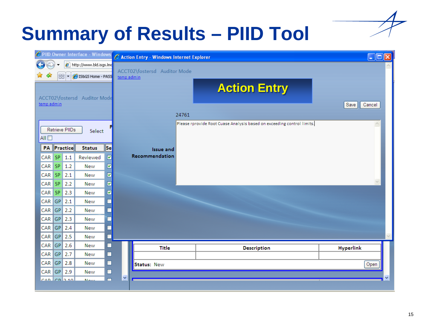#### **Summary of Results – PIID Tool**

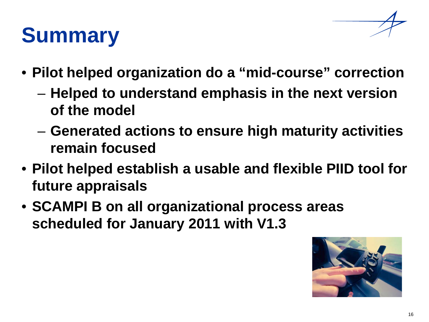

## **Summary**

- **Pilot helped organization do a "mid-course" correction**
	- **Helped to understand emphasis in the next version of the model**
	- **Generated actions to ensure high maturity activities remain focused**
- **Pilot helped establish a usable and flexible PIID tool for future appraisals**
- **SCAMPI B on all organizational process areas scheduled for January 2011 with V1.3**